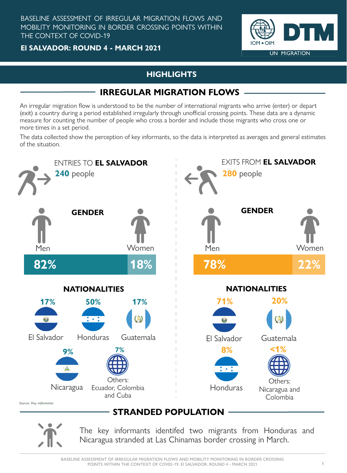**El SALVADOR: ROUND 4 - MARCH 2021**

The key informants identifed two migrants from Honduras and Nicaragua stranded at Las Chinamas border crossing in March.

Source: Key informants



An irregular migration flow is understood to be the number of international migrants who arrive (enter) or depart (exit) a country during a period established irregularly through unofficial crossing points. These data are a dynamic measure for counting the number of people who cross a border and include those migrants who cross one or more times in a set period.

BASELINE ASSESSMENT OF IRREGULAR MIGRATION FLOWS AND MOBILITY MONITORING IN BORDER CROSSING POINTS WITHIN THE CONTEXT OF COVID-19

## **HIGHLIGHTS**

**IOM . OIM** 

**UN MIGRATION** 

# **IRREGULAR MIGRATION FLOWS**

The data collected show the perception of key informants, so the data is interpreted as averages and general estimates of the situation.

# **STRANDED POPULATION**

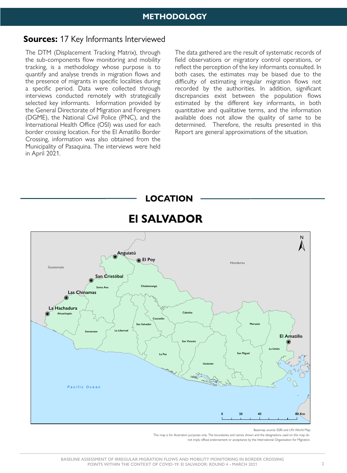The DTM (Displacement Tracking Matrix), through the sub-components flow monitoring and mobility tracking, is a methodology whose purpose is to quantify and analyse trends in migration flows and the presence of migrants in specific localities during a specific period. Data were collected through interviews conducted remotely with strategically selected key informants. Information provided by the General Directorate of Migration and Foreigners (DGME), the National Civil Police (PNC), and the International Health Office (OSI) was used for each border crossing location. For the El Amatillo Border Crossing, information was also obtained from the Municipality of Pasaquina. The interviews were held in April 2021.

The data gathered are the result of systematic records of field observations or migratory control operations, or reflect the perception of the key informants consulted. In both cases, the estimates may be biased due to the difficulty of estimating irregular migration flows not recorded by the authorities. In addition, significant discrepancies exist between the population flows estimated by the different key informants, in both quantitative and qualitative terms, and the information available does not allow the quality of same to be determined. Therefore, the results presented in this Report are general approximations of the situation.



Basemap source: ESRI and UN World Map This map is for illustration purposes only. The boundaries and names shown and the designations used on this map do not imply official endorsement or acceptance by the International Organization for Migration.

## **Sources:** 17 Key Informants Interviewed

### **METHODOLOGY**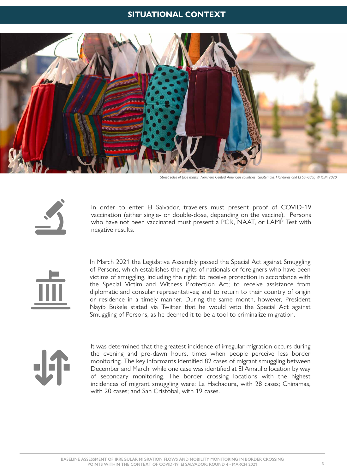In March 2021 the Legislative Assembly passed the Special Act against Smuggling of Persons, which establishes the rights of nationals or foreigners who have been victims of smuggling, including the right: to receive protection in accordance with the Special Victim and Witness Protection Act; to receive assistance from diplomatic and consular representatives; and to return to their country of origin or residence in a timely manner. During the same month, however, President Nayib Bukele stated via Twitter that he would veto the Special Act against Smuggling of Persons, as he deemed it to be a tool to criminalize migration.



In order to enter El Salvador, travelers must present proof of COVID-19 vaccination (either single- or double-dose, depending on the vaccine). Persons who have not been vaccinated must present a PCR, NAAT, or LAMP Test with negative results.



It was determined that the greatest incidence of irregular migration occurs during the evening and pre-dawn hours, times when people perceive less border monitoring. The key informants identified 82 cases of migrant smuggling between December and March, while one case was identified at El Amatillo location by way of secondary monitoring. The border crossing locations with the highest incidences of migrant smuggling were: La Hachadura, with 28 cases; Chinamas, with 20 cases; and San Cristóbal, with 19 cases.

### **SITUATIONAL CONTEXT**



*Street sales of face masks. Northern Central American countries (Guatemala, Honduras and El Salvador) © IOM 2020*

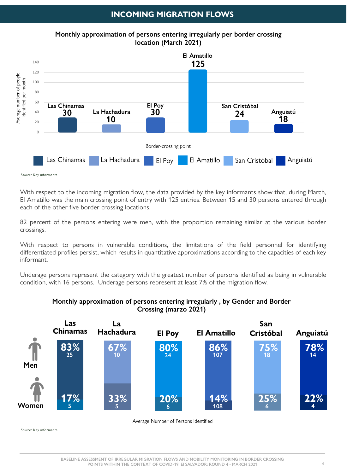**BASELINE ASSESSMENT OF IRREGULAR MIGRATION FLOWS AND MOBILITY MONITORING IN BORDER CROSSING POINTS WITHIN THE CONTEXT OF COVID-19. El SALVADOR: ROUND 4 - MARCH 2021 4**

With respect to persons in vulnerable conditions, the limitations of the field personnel for identifying differentiated profiles persist, which results in quantitative approximations according to the capacities of each key informant.

Underage persons represent the category with the greatest number of persons identified as being in vulnerable condition, with 16 persons. Underage persons represent at least 7% of the migration flow.

82 percent of the persons entering were men, with the proportion remaining similar at the various border crossings.

#### **Monthly approximation of persons entering irregularly , by Gender and Border Crossing (marzo 2021)**



Average Number of Persons Identified

Source: Key informants.

With respect to the incoming migration flow, the data provided by the key informants show that, during March, El Amatillo was the main crossing point of entry with 125 entries. Between 15 and 30 persons entered through each of the other five border crossing locations.

Source: Key informants.



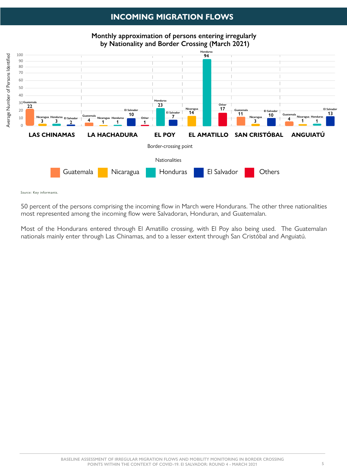Most of the Hondurans entered through El Amatillo crossing, with El Poy also being used. The Guatemalan nationals mainly enter through Las Chinamas, and to a lesser extent through San Cristóbal and Anguiatú.

Source: Key informants.

50 percent of the persons comprising the incoming flow in March were Hondurans. The other three nationalities most represented among the incoming flow were Salvadoran, Honduran, and Guatemalan.

## **INCOMING MIGRATION FLOWS**

**Monthly approximation of persons entering irregularly by Nationality and Border Crossing (March 2021)**

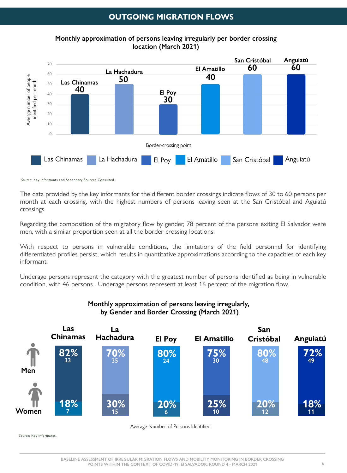The data provided by the key informants for the different border crossings indicate flows of 30 to 60 persons per month at each crossing, with the highest numbers of persons leaving seen at the San Cristóbal and Aguiatú crossings.

Regarding the composition of the migratory flow by gender, 78 percent of the persons exiting El Salvador were men, with a similar proportion seen at all the border crossing locations.

With respect to persons in vulnerable conditions, the limitations of the field personnel for identifying differentiated profiles persist, which results in quantitative approximations according to the capacities of each key informant.

Underage persons represent the category with the greatest number of persons identified as being in vulnerable condition, with 46 persons. Underage persons represent at least 16 percent of the migration flow.

#### **Monthly approximation of persons leaving irregularly, by Gender and Border Crossing (March 2021)**



Average Number of Persons Identified

Source: Key informants.

Source: Key informants and Secondary Sources Consulted.



## **OUTGOING MIGRATION FLOWS**

**Monthly approximation of persons leaving irregularly per border crossing location (March 2021)**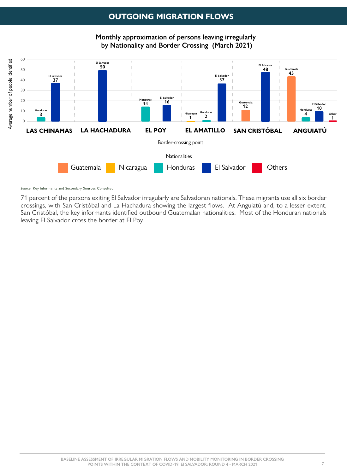71 percent of the persons exiting El Salvador irregularly are Salvadoran nationals. These migrants use all six border crossings, with San Cristóbal and La Hachadura showing the largest flows. At Anguiatú and, to a lesser extent, San Cristóbal, the key informants identified outbound Guatemalan nationalities. Most of the Honduran nationals leaving El Salvador cross the border at El Poy.

**Monthly approximation of persons leaving irregularly by Nationality and Border Crossing (March 2021)**



Source: Key informants and Secondary Sources Consulted.

## **OUTGOING MIGRATION FLOWS**